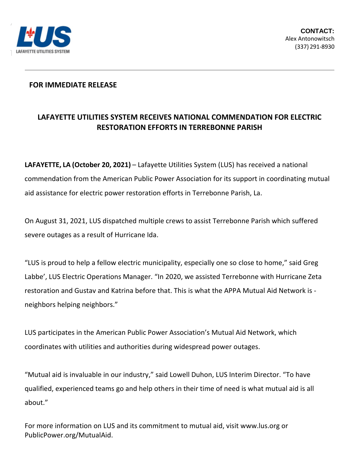

## **FOR IMMEDIATE RELEASE**

## **LAFAYETTE UTILITIES SYSTEM RECEIVES NATIONAL COMMENDATION FOR ELECTRIC RESTORATION EFFORTS IN TERREBONNE PARISH**

**LAFAYETTE, LA (October 20, 2021)** – Lafayette Utilities System (LUS) has received a national commendation from the American Public Power Association for its support in coordinating mutual aid assistance for electric power restoration efforts in Terrebonne Parish, La.

On August 31, 2021, LUS dispatched multiple crews to assist Terrebonne Parish which suffered severe outages as a result of Hurricane Ida.

"LUS is proud to help a fellow electric municipality, especially one so close to home," said Greg Labbe', LUS Electric Operations Manager. "In 2020, we assisted Terrebonne with Hurricane Zeta restoration and Gustav and Katrina before that. This is what the APPA Mutual Aid Network is neighbors helping neighbors."

LUS participates in the American Public Power Association's Mutual Aid Network, which coordinates with utilities and authorities during widespread power outages.

"Mutual aid is invaluable in our industry," said Lowell Duhon, LUS Interim Director. "To have qualified, experienced teams go and help others in their time of need is what mutual aid is all about."

For more information on LUS and its commitment to mutual aid, visit www.lus.org or PublicPower.org/MutualAid.